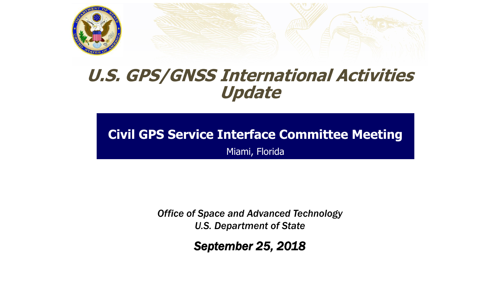



# **U.S. GPS/GNSS International Activities Update**

# **Civil GPS Service Interface Committee Meeting**

Miami, Florida

*Office of Space and Advanced Technology U.S. Department of State*

*September 25, 2018*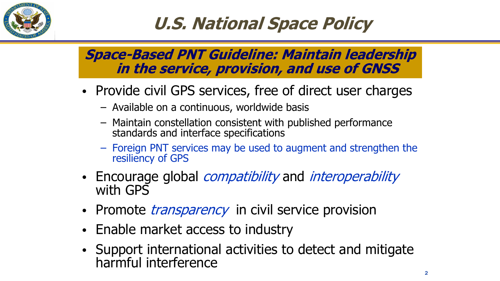

# **U.S. National Space Policy**

### **Space-Based PNT Guideline: Maintain leadership in the service, provision, and use of GNSS**

- Provide civil GPS services, free of direct user charges
	- Available on a continuous, worldwide basis
	- Maintain constellation consistent with published performance standards and interface specifications
	- Foreign PNT services may be used to augment and strengthen the resiliency of GPS
- Encourage global *compatibility* and *interoperability* with GPS
- Promote *transparency* in civil service provision
- Enable market access to industry
- Support international activities to detect and mitigate harmful interference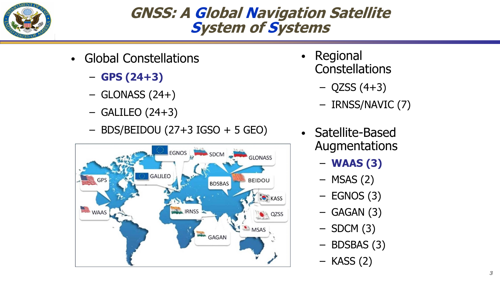

### **GNSS: A Global Navigation Satellite System of Systems**

- Global Constellations
	- **GPS (24+3)**
	- $-$  GLONASS (24+)
	- $-$  GALILEO (24+3)
	- BDS/BEIDOU (27+3 IGSO + 5 GEO)



- Regional **Constellations** 
	- $-$  QZSS (4+3)
	- IRNSS/NAVIC (7)
- Satellite-Based Augmentations
	- **WAAS (3)**
	- $-$  MSAS (2)
	- $-$  EGNOS (3)
	- $-$  GAGAN (3)
	- $-$  SDCM (3)
	- BDSBAS (3)
	- KASS (2)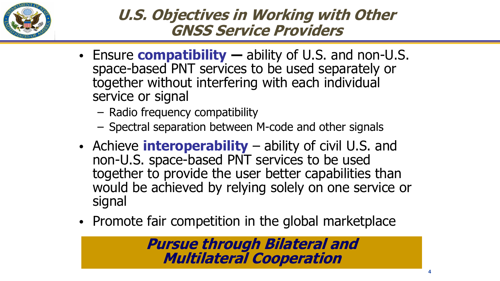

### **U.S. Objectives in Working with Other GNSS Service Providers**

- Ensure **compatibility ―** ability of U.S. and non-U.S. space-based PNT services to be used separately or together without interfering with each individual service or signal
	- Radio frequency compatibility
	- Spectral separation between M-code and other signals
- Achieve **interoperability** ability of civil U.S. and non-U.S. space-based PNT services to be used together to provide the user better capabilities than would be achieved by relying solely on one service or signal
- Promote fair competition in the global marketplace

**Pursue through Bilateral and Multilateral Cooperation**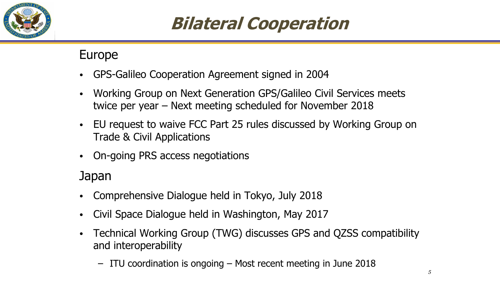

# **Bilateral Cooperation**

### Europe

- GPS-Galileo Cooperation Agreement signed in 2004
- Working Group on Next Generation GPS/Galileo Civil Services meets twice per year – Next meeting scheduled for November 2018
- EU request to waive FCC Part 25 rules discussed by Working Group on Trade & Civil Applications
- On-going PRS access negotiations

### Japan

- Comprehensive Dialogue held in Tokyo, July 2018
- Civil Space Dialogue held in Washington, May 2017
- Technical Working Group (TWG) discusses GPS and QZSS compatibility and interoperability
	- ITU coordination is ongoing Most recent meeting in June 2018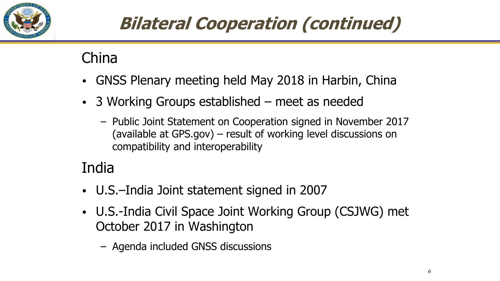

# **Bilateral Cooperation (continued)**

China

- GNSS Plenary meeting held May 2018 in Harbin, China
- 3 Working Groups established meet as needed
	- Public Joint Statement on Cooperation signed in November 2017 (available at GPS.gov) – result of working level discussions on compatibility and interoperability

## India

- U.S.–India Joint statement signed in 2007
- U.S.-India Civil Space Joint Working Group (CSJWG) met October 2017 in Washington
	- Agenda included GNSS discussions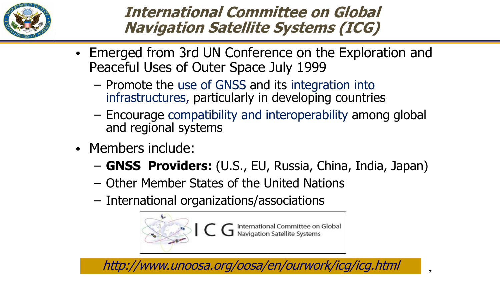

### **International Committee on Global Navigation Satellite Systems (ICG)**

- Emerged from 3rd UN Conference on the Exploration and Peaceful Uses of Outer Space July 1999
	- Promote the use of GNSS and its integration into infrastructures, particularly in developing countries
	- Encourage compatibility and interoperability among global and regional systems
- Members include:
	- **GNSS Providers:** (U.S., EU, Russia, China, India, Japan)
	- Other Member States of the United Nations
	- International organizations/associations



http://www.unoosa.org/oosa/en/ourwork/icg/icg.html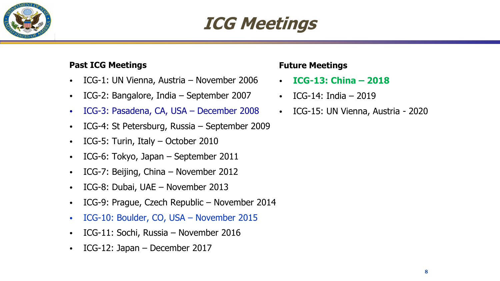

# **ICG Meetings**

#### **Past ICG Meetings**

- ICG-1: UN Vienna, Austria November 2006
- ICG-2: Bangalore, India September 2007
- ICG-3: Pasadena, CA, USA December 2008
- ICG-4: St Petersburg, Russia September 2009
- ICG-5: Turin, Italy October 2010
- ICG-6: Tokyo, Japan September 2011
- ICG-7: Beijing, China November 2012
- ICG-8: Dubai, UAE November 2013
- ICG-9: Prague, Czech Republic November 2014
- ICG-10: Boulder, CO, USA November 2015
- ICG-11: Sochi, Russia November 2016
- ICG-12: Japan December 2017

#### **Future Meetings**

- **ICG-13: China – 2018**
- ICG-14: India 2019
- ICG-15: UN Vienna, Austria 2020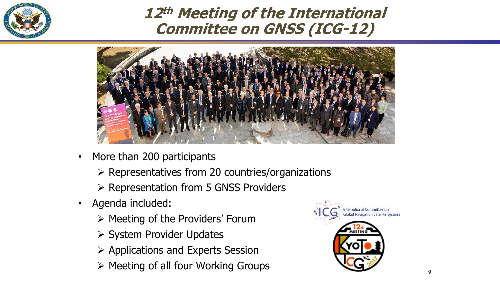

### **12th Meeting of the International Committee on GNSS (ICG-12)**



- More than 200 participants
	- $\triangleright$  Representatives from 20 countries/organizations
	- $\triangleright$  Representation from 5 GNSS Providers
- Agenda included:
	- $\triangleright$  Meeting of the Providers' Forum
	- $\triangleright$  System Provider Updates
	- $\triangleright$  Applications and Experts Session
	- $\triangleright$  Meeting of all four Working Groups

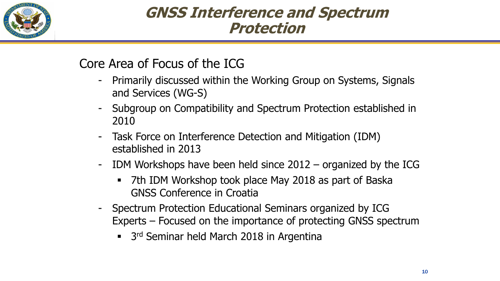

### **GNSS Interference and Spectrum Protection**

### Core Area of Focus of the ICG

- Primarily discussed within the Working Group on Systems, Signals and Services (WG-S)
- Subgroup on Compatibility and Spectrum Protection established in 2010
- Task Force on Interference Detection and Mitigation (IDM) established in 2013
- IDM Workshops have been held since  $2012 -$  organized by the ICG
	- 7th IDM Workshop took place May 2018 as part of Baska GNSS Conference in Croatia
- Spectrum Protection Educational Seminars organized by ICG Experts – Focused on the importance of protecting GNSS spectrum
	- <sup>3rd</sup> Seminar held March 2018 in Argentina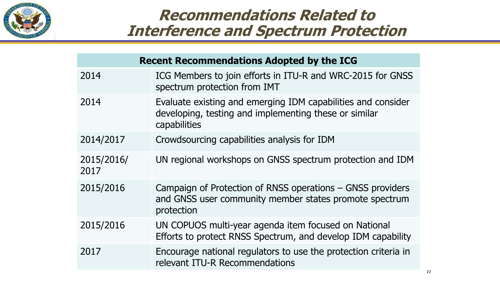

### **Recommendations Related to Interference and Spectrum Protection**

| <b>Recent Recommendations Adopted by the ICG</b> |                                                                                                                                       |
|--------------------------------------------------|---------------------------------------------------------------------------------------------------------------------------------------|
| 2014                                             | ICG Members to join efforts in ITU-R and WRC-2015 for GNSS<br>spectrum protection from IMT                                            |
| 2014                                             | Evaluate existing and emerging IDM capabilities and consider<br>developing, testing and implementing these or similar<br>capabilities |
| 2014/2017                                        | Crowdsourcing capabilities analysis for IDM                                                                                           |
| 2015/2016/<br>2017                               | UN regional workshops on GNSS spectrum protection and IDM                                                                             |
| 2015/2016                                        | Campaign of Protection of RNSS operations – GNSS providers<br>and GNSS user community member states promote spectrum<br>protection    |
| 2015/2016                                        | UN COPUOS multi-year agenda item focused on National<br>Efforts to protect RNSS Spectrum, and develop IDM capability                  |
| 2017                                             | Encourage national regulators to use the protection criteria in<br>relevant ITU-R Recommendations                                     |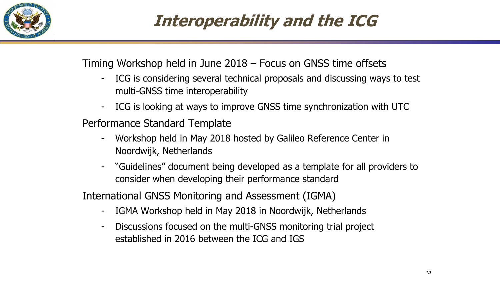

# **Interoperability and the ICG**

Timing Workshop held in June 2018 – Focus on GNSS time offsets

- ICG is considering several technical proposals and discussing ways to test multi-GNSS time interoperability
- ICG is looking at ways to improve GNSS time synchronization with UTC

Performance Standard Template

- Workshop held in May 2018 hosted by Galileo Reference Center in Noordwijk, Netherlands
- "Guidelines" document being developed as a template for all providers to consider when developing their performance standard

International GNSS Monitoring and Assessment (IGMA)

- IGMA Workshop held in May 2018 in Noordwijk, Netherlands
- Discussions focused on the multi-GNSS monitoring trial project established in 2016 between the ICG and IGS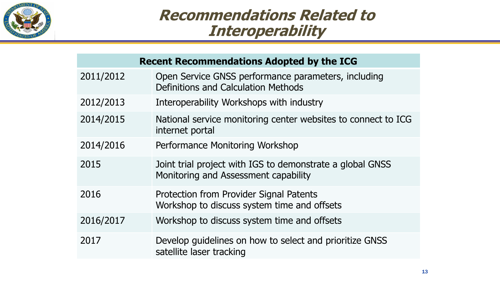

### **Recommendations Related to Interoperability**

| <b>Recent Recommendations Adopted by the ICG</b> |                                                                                                   |  |
|--------------------------------------------------|---------------------------------------------------------------------------------------------------|--|
| 2011/2012                                        | Open Service GNSS performance parameters, including<br>Definitions and Calculation Methods        |  |
| 2012/2013                                        | Interoperability Workshops with industry                                                          |  |
| 2014/2015                                        | National service monitoring center websites to connect to ICG<br>internet portal                  |  |
| 2014/2016                                        | Performance Monitoring Workshop                                                                   |  |
| 2015                                             | Joint trial project with IGS to demonstrate a global GNSS<br>Monitoring and Assessment capability |  |
| 2016                                             | Protection from Provider Signal Patents<br>Workshop to discuss system time and offsets            |  |
| 2016/2017                                        | Workshop to discuss system time and offsets                                                       |  |
| 2017                                             | Develop guidelines on how to select and prioritize GNSS<br>satellite laser tracking               |  |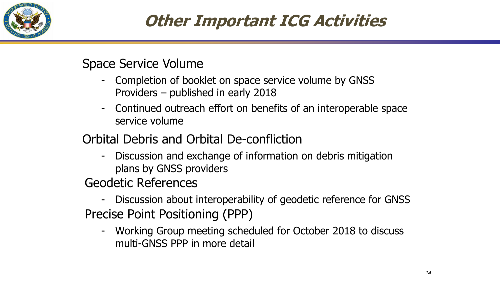

# **Other Important ICG Activities**

### Space Service Volume

- Completion of booklet on space service volume by GNSS Providers – published in early 2018
- Continued outreach effort on benefits of an interoperable space service volume

Orbital Debris and Orbital De-confliction

- Discussion and exchange of information on debris mitigation plans by GNSS providers

Geodetic References

- Discussion about interoperability of geodetic reference for GNSS Precise Point Positioning (PPP)

- Working Group meeting scheduled for October 2018 to discuss multi-GNSS PPP in more detail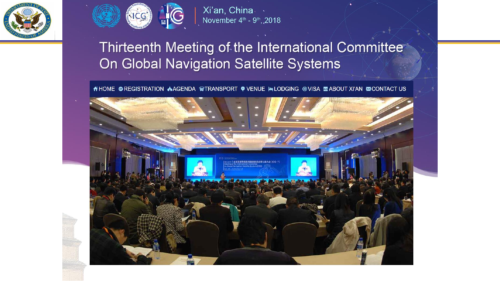



Xi'an, China November 4th - 9th, 2018

### Thirteenth Meeting of the International Committee On Global Navigation Satellite Systems

A HOME © REGISTRATION A AGENDA GETRANSPORT ♥ VENUE LALODGING © VISA MABOUT XI'AN ZONTACT US

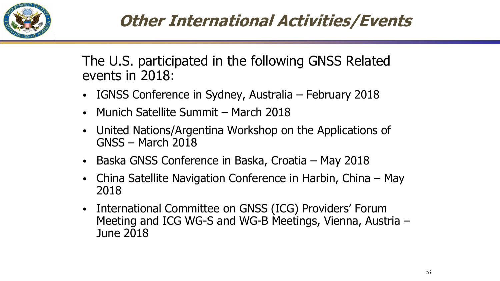

# **Other International Activities/Events**

The U.S. participated in the following GNSS Related events in 2018:

- IGNSS Conference in Sydney, Australia February 2018
- Munich Satellite Summit March 2018
- United Nations/Argentina Workshop on the Applications of GNSS – March 2018
- Baska GNSS Conference in Baska, Croatia May 2018
- China Satellite Navigation Conference in Harbin, China May 2018
- International Committee on GNSS (ICG) Providers' Forum Meeting and ICG WG-S and WG-B Meetings, Vienna, Austria – June 2018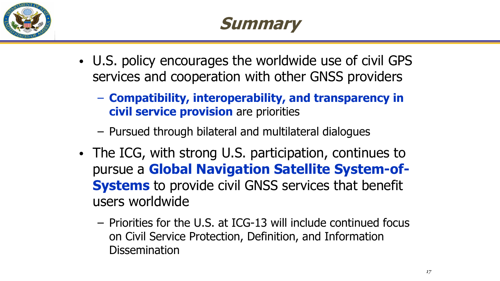

- U.S. policy encourages the worldwide use of civil GPS services and cooperation with other GNSS providers
	- **Compatibility, interoperability, and transparency in civil service provision** are priorities
	- Pursued through bilateral and multilateral dialogues
- The ICG, with strong U.S. participation, continues to pursue a **Global Navigation Satellite System-of-Systems** to provide civil GNSS services that benefit users worldwide
	- Priorities for the U.S. at ICG-13 will include continued focus on Civil Service Protection, Definition, and Information **Dissemination**